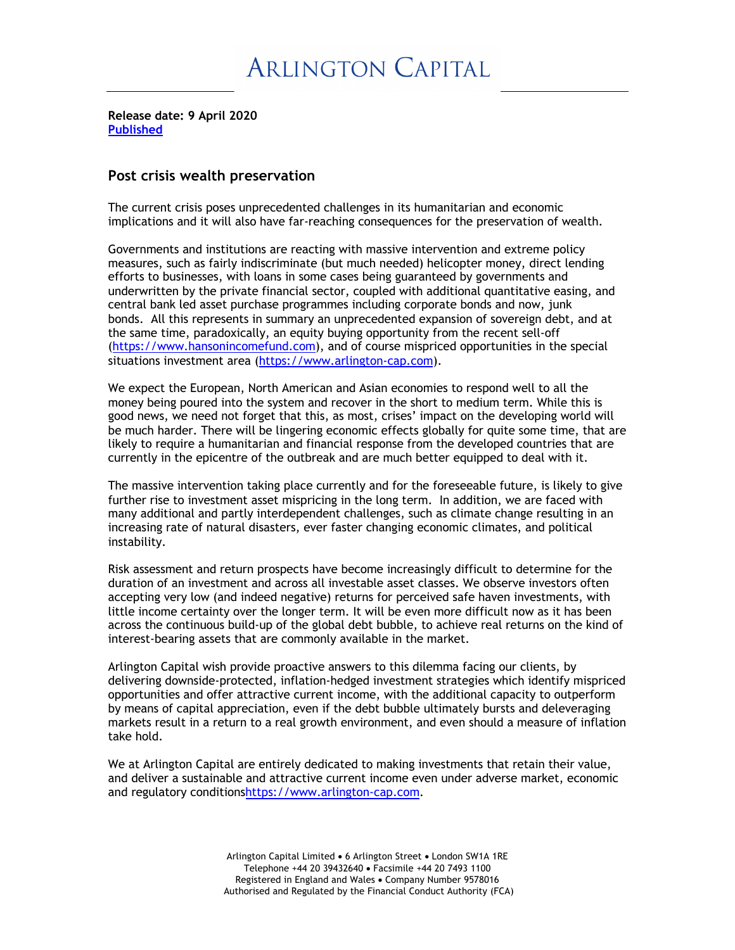**Release date: 9 April 2020 Published**

## **Post crisis wealth preservation**

The current crisis poses unprecedented challenges in its humanitarian and economic implications and it will also have far-reaching consequences for the preservation of wealth.

Governments and institutions are reacting with massive intervention and extreme policy measures, such as fairly indiscriminate (but much needed) helicopter money, direct lending efforts to businesses, with loans in some cases being guaranteed by governments and underwritten by the private financial sector, coupled with additional quantitative easing, and central bank led asset purchase programmes including corporate bonds and now, junk bonds. All this represents in summary an unprecedented expansion of sovereign debt, and at the same time, paradoxically, an equity buying opportunity from the recent sell-off (https://www.hansonincomefund.com), and of course mispriced opportunities in the special situations investment area (https://www.arlington-cap.com).

We expect the European, North American and Asian economies to respond well to all the money being poured into the system and recover in the short to medium term. While this is good news, we need not forget that this, as most, crises' impact on the developing world will be much harder. There will be lingering economic effects globally for quite some time, that are likely to require a humanitarian and financial response from the developed countries that are currently in the epicentre of the outbreak and are much better equipped to deal with it.

The massive intervention taking place currently and for the foreseeable future, is likely to give further rise to investment asset mispricing in the long term. In addition, we are faced with many additional and partly interdependent challenges, such as climate change resulting in an increasing rate of natural disasters, ever faster changing economic climates, and political instability.

Risk assessment and return prospects have become increasingly difficult to determine for the duration of an investment and across all investable asset classes. We observe investors often accepting very low (and indeed negative) returns for perceived safe haven investments, with little income certainty over the longer term. It will be even more difficult now as it has been across the continuous build-up of the global debt bubble, to achieve real returns on the kind of interest-bearing assets that are commonly available in the market.

Arlington Capital wish provide proactive answers to this dilemma facing our clients, by delivering downside-protected, inflation-hedged investment strategies which identify mispriced opportunities and offer attractive current income, with the additional capacity to outperform by means of capital appreciation, even if the debt bubble ultimately bursts and deleveraging markets result in a return to a real growth environment, and even should a measure of inflation take hold.

We at Arlington Capital are entirely dedicated to making investments that retain their value, and deliver a sustainable and attractive current income even under adverse market, economic and regulatory conditionshttps://www.arlington-cap.com.

> Arlington Capital Limited • 6 Arlington Street • London SW1A 1RE Telephone +44 20 39432640 • Facsimile +44 20 7493 1100 Registered in England and Wales • Company Number 9578016 Authorised and Regulated by the Financial Conduct Authority (FCA)